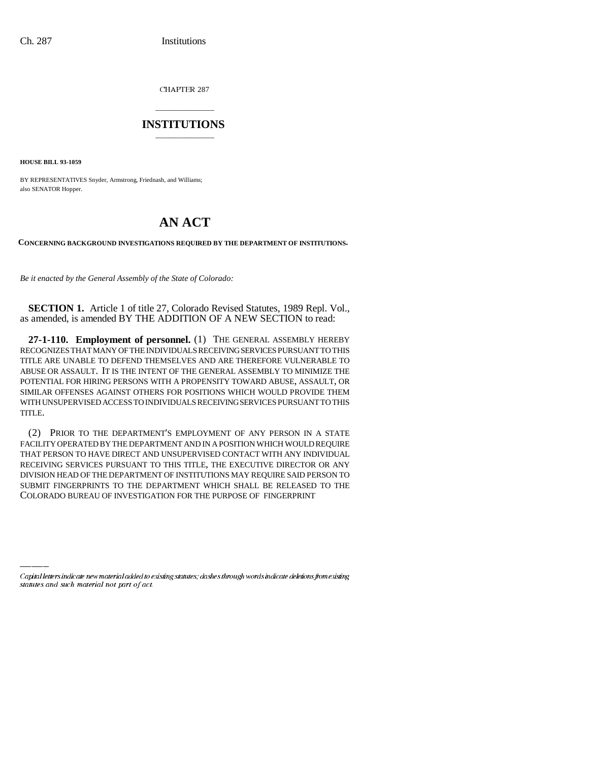CHAPTER 287

## \_\_\_\_\_\_\_\_\_\_\_\_\_\_\_ **INSTITUTIONS** \_\_\_\_\_\_\_\_\_\_\_\_\_\_\_

**HOUSE BILL 93-1059**

BY REPRESENTATIVES Snyder, Armstrong, Friednash, and Williams; also SENATOR Hopper.

## **AN ACT**

**CONCERNING BACKGROUND INVESTIGATIONS REQUIRED BY THE DEPARTMENT OF INSTITUTIONS.**

*Be it enacted by the General Assembly of the State of Colorado:*

**SECTION 1.** Article 1 of title 27, Colorado Revised Statutes, 1989 Repl. Vol., as amended, is amended BY THE ADDITION OF A NEW SECTION to read:

**27-1-110. Employment of personnel.** (1) THE GENERAL ASSEMBLY HEREBY RECOGNIZES THAT MANY OF THE INDIVIDUALS RECEIVING SERVICES PURSUANT TO THIS TITLE ARE UNABLE TO DEFEND THEMSELVES AND ARE THEREFORE VULNERABLE TO ABUSE OR ASSAULT. IT IS THE INTENT OF THE GENERAL ASSEMBLY TO MINIMIZE THE POTENTIAL FOR HIRING PERSONS WITH A PROPENSITY TOWARD ABUSE, ASSAULT, OR SIMILAR OFFENSES AGAINST OTHERS FOR POSITIONS WHICH WOULD PROVIDE THEM WITH UNSUPERVISED ACCESS TO INDIVIDUALS RECEIVING SERVICES PURSUANT TO THIS TITLE.

COLORADO BUREAU OF INVESTIGATION FOR THE PURPOSE OF FINGERPRINT(2) PRIOR TO THE DEPARTMENT'S EMPLOYMENT OF ANY PERSON IN A STATE FACILITY OPERATED BY THE DEPARTMENT AND IN A POSITION WHICH WOULD REQUIRE THAT PERSON TO HAVE DIRECT AND UNSUPERVISED CONTACT WITH ANY INDIVIDUAL RECEIVING SERVICES PURSUANT TO THIS TITLE, THE EXECUTIVE DIRECTOR OR ANY DIVISION HEAD OF THE DEPARTMENT OF INSTITUTIONS MAY REQUIRE SAID PERSON TO SUBMIT FINGERPRINTS TO THE DEPARTMENT WHICH SHALL BE RELEASED TO THE

Capital letters indicate new material added to existing statutes; dashes through words indicate deletions from existing statutes and such material not part of act.